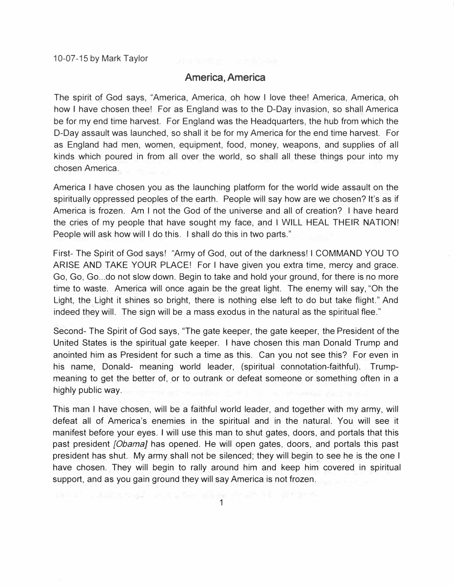## America, America

The spirit of God says, "America, America, oh how I love thee! America, America, oh how I have chosen thee! For as England was to the D-Day invasion, so shall America be for my end time harvest. For England was the Headquarters, the hub from which the D-Day assault was launched, so shall it be for my America for the end time harvest. For as England had men, women, equipment, food, money, weapons, and supplies of all kinds which poured in from all over the world, so shall all these things pour into my chosen America.

America I have chosen you as the launching platform for the world wide assault on the spiritually oppressed peoples of the earth. People will say how are we chosen? It's as if America is frozen. Am I not the God of the universe and all of creation? I have heard the cries of my people that have sought my face, and I WILL HEAL THEIR NATION! People will ask how will I do this. I shall do this in two parts."

First- The Spirit of God says! "Army of God, out of the darkness! I COMMAND YOU TO ARISE AND TAKE YOUR PLACE! For I have given you extra time, mercy and grace. Go, Go, Go...do not slow down. Begin to take and hold your ground, for there is no more time to waste. America will once again be the great light. The enemy will say, "Oh the Light, the Light it shines so bright, there is nothing else left to do but take flight." And indeed they will. The sign will be a mass exodus in the natural as the spiritual flee."

Second- The Spirit of God says, "The gate keeper, the gate keeper, the President of the United States is the spiritual gate keeper. I have chosen this man Donald Trump and anointed him as President for such a time as this. Can you not see this? For even in his name, Donald- meaning world leader, (spiritual connotation-faithful). Trumpmeaning to get the better of, or to outrank or defeat someone or something often in a highly public way.

This man I have chosen, will be a faithful world leader, and together with my army, will defeat all of America's enemies in the spiritual and in the natural. You will see it manifest before your eyes. I will use this man to shut gates, doors, and portals that this past president *[*Obama*]* has opened. He will open gates, doors, and portals this past president has shut. My army shall not be silenced; they will begin to see he is the one I have chosen. They will begin to rally around him and keep him covered in spiritual support, and as you gain ground they will say America is not frozen.

 $1$